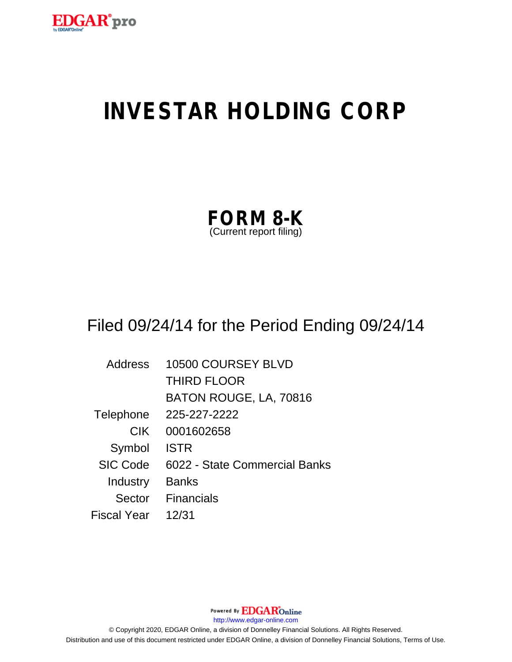

# **INVESTAR HOLDING CORP**

| <b>FORM 8-K</b>         |  |
|-------------------------|--|
| (Current report filing) |  |

## Filed 09/24/14 for the Period Ending 09/24/14

| <b>Address</b>  | 10500 COURSEY BLVD            |
|-----------------|-------------------------------|
|                 | <b>THIRD FLOOR</b>            |
|                 | BATON ROUGE, LA, 70816        |
| Telephone       | 225-227-2222                  |
| <b>CIK</b>      | 0001602658                    |
| Symbol          | <b>ISTR</b>                   |
| <b>SIC Code</b> | 6022 - State Commercial Banks |
| Industry        | <b>Banks</b>                  |
| Sector          | Financials                    |
| Fiscal Year     | 12/31                         |

Powered By **EDGAR**Online http://www.edgar-online.com © Copyright 2020, EDGAR Online, a division of Donnelley Financial Solutions. All Rights Reserved. Distribution and use of this document restricted under EDGAR Online, a division of Donnelley Financial Solutions, Terms of Use.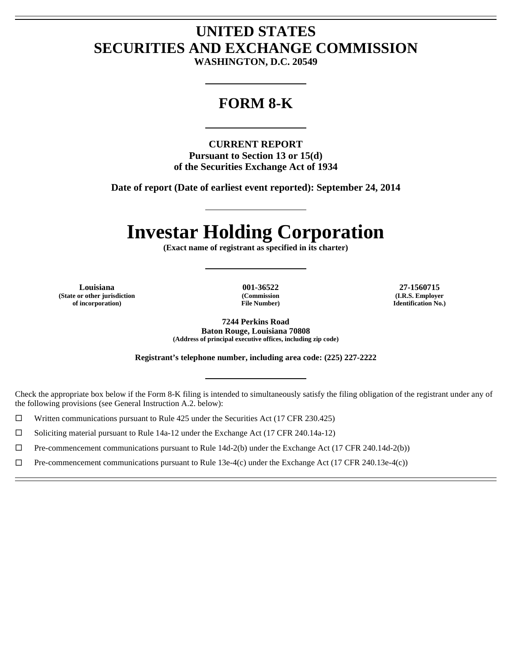## **UNITED STATES SECURITIES AND EXCHANGE COMMISSION**

**WASHINGTON, D.C. 20549** 

L

## **FORM 8-K**

L

**CURRENT REPORT Pursuant to Section 13 or 15(d) of the Securities Exchange Act of 1934** 

**Date of report (Date of earliest event reported): September 24, 2014** 

L

# **Investar Holding Corporation**

**(Exact name of registrant as specified in its charter)** 

L

**Louisiana 001-36522 27-1560715 (State or other jurisdiction of incorporation)** 

 $\overline{a}$ Ē

 $\overline{a}$  $\overline{a}$ 

**(Commission File Number)** 

**(I.R.S. Employer Identification No.)** 

**7244 Perkins Road Baton Rouge, Louisiana 70808 (Address of principal executive offices, including zip code)** 

**Registrant's telephone number, including area code: (225) 227-2222** 

L

Check the appropriate box below if the Form 8-K filing is intended to simultaneously satisfy the filing obligation of the registrant under any of the following provisions (see General Instruction A.2. below):

 $\Box$  Written communications pursuant to Rule 425 under the Securities Act (17 CFR 230.425)

 $\Box$  Soliciting material pursuant to Rule 14a-12 under the Exchange Act (17 CFR 240.14a-12)

 $\Box$  Pre-commencement communications pursuant to Rule 14d-2(b) under the Exchange Act (17 CFR 240.14d-2(b))

 $\Box$  Pre-commencement communications pursuant to Rule 13e-4(c) under the Exchange Act (17 CFR 240.13e-4(c))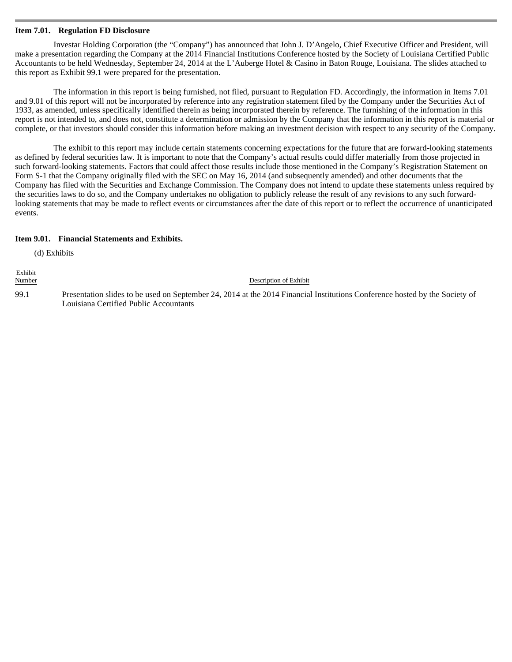### **Item 7.01. Regulation FD Disclosure**

Investar Holding Corporation (the "Company") has announced that John J. D'Angelo, Chief Executive Officer and President, will make a presentation regarding the Company at the 2014 Financial Institutions Conference hosted by the Society of Louisiana Certified Public Accountants to be held Wednesday, September 24, 2014 at the L'Auberge Hotel & Casino in Baton Rouge, Louisiana. The slides attached to this report as Exhibit 99.1 were prepared for the presentation.

The information in this report is being furnished, not filed, pursuant to Regulation FD. Accordingly, the information in Items 7.01 and 9.01 of this report will not be incorporated by reference into any registration statement filed by the Company under the Securities Act of 1933, as amended, unless specifically identified therein as being incorporated therein by reference. The furnishing of the information in this report is not intended to, and does not, constitute a determination or admission by the Company that the information in this report is material or complete, or that investors should consider this information before making an investment decision with respect to any security of the Company.

The exhibit to this report may include certain statements concerning expectations for the future that are forward-looking statements as defined by federal securities law. It is important to note that the Company's actual results could differ materially from those projected in such forward-looking statements. Factors that could affect those results include those mentioned in the Company's Registration Statement on Form S-1 that the Company originally filed with the SEC on May 16, 2014 (and subsequently amended) and other documents that the Company has filed with the Securities and Exchange Commission. The Company does not intend to update these statements unless required by the securities laws to do so, and the Company undertakes no obligation to publicly release the result of any revisions to any such forwardlooking statements that may be made to reflect events or circumstances after the date of this report or to reflect the occurrence of unanticipated events.

## **Item 9.01. Financial Statements and Exhibits.**

(d) Exhibits

Exhibit Description of Exhibit 99.1 Presentation slides to be used on September 24, 2014 at the 2014 Financial Institutions Conference hosted by the Society of Louisiana Certified Public Accountants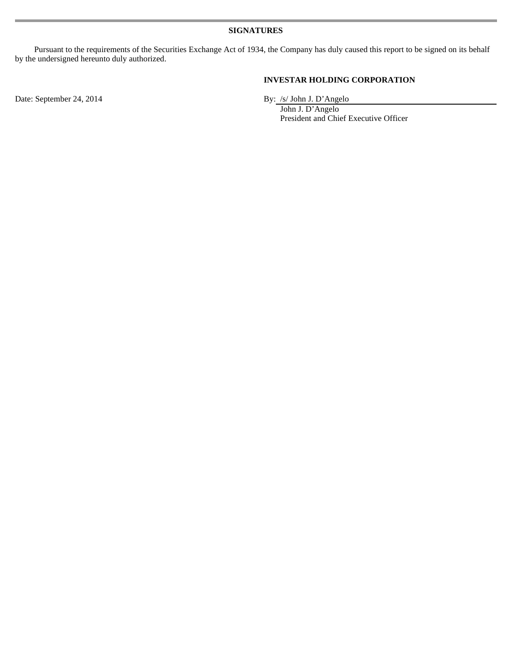Pursuant to the requirements of the Securities Exchange Act of 1934, the Company has duly caused this report to be signed on its behalf by the undersigned hereunto duly authorized.

## **INVESTAR HOLDING CORPORATION**

Date: September 24, 2014 By: /s/ John J. D'Angelo

 John J. D'Angelo President and Chief Executive Officer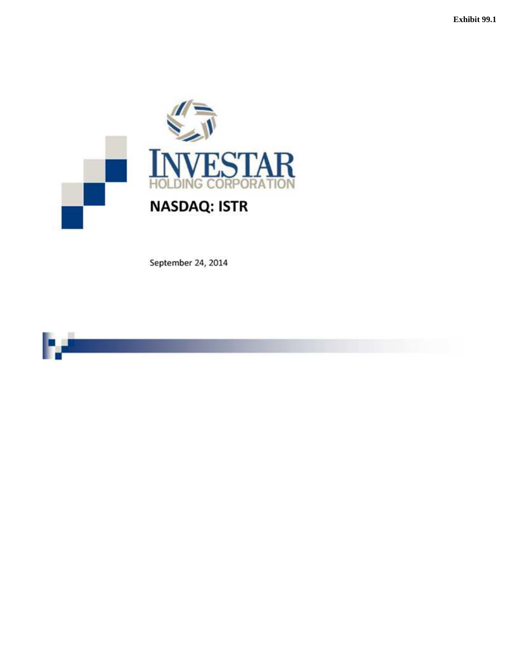

September 24, 2014

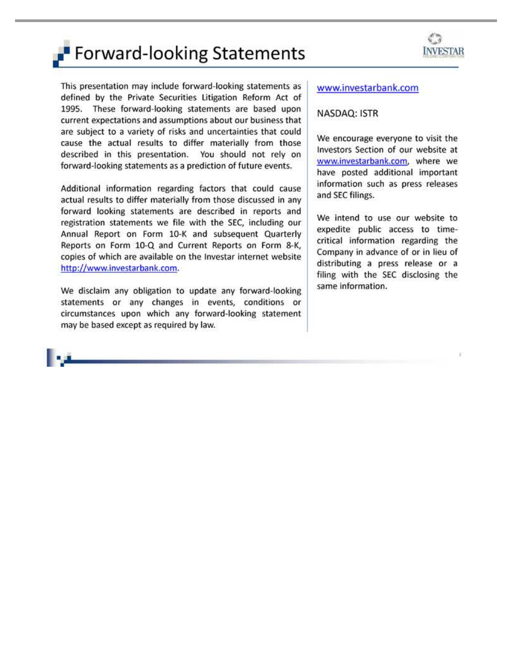# **Forward-looking Statements**



This presentation may include forward-looking statements as defined by the Private Securities Litigation Reform Act of 1995. These forward-looking statements are based upon current expectations and assumptions about our business that are subject to a variety of risks and uncertainties that could cause the actual results to differ materially from those described in this presentation. You should not rely on forward-looking statements as a prediction of future events.

Additional information regarding factors that could cause actual results to differ materially from those discussed in any forward looking statements are described in reports and registration statements we file with the SEC, including our Annual Report on Form 10-K and subsequent Quarterly Reports on Form 10-Q and Current Reports on Form 8-K, copies of which are available on the Investar internet website http://www.investarbank.com.

We disclaim any obligation to update any forward-looking statements or any changes in events, conditions or circumstances upon which any forward-looking statement may be based except as required by law.

## www.investarbank.com

## NASDAQ: ISTR

We encourage everyone to visit the Investors Section of our website at www.investarbank.com, where we have posted additional important information such as press releases and SEC filings.

We intend to use our website to expedite public access to timecritical information regarding the Company in advance of or in lieu of distributing a press release or a filing with the SEC disclosing the same information.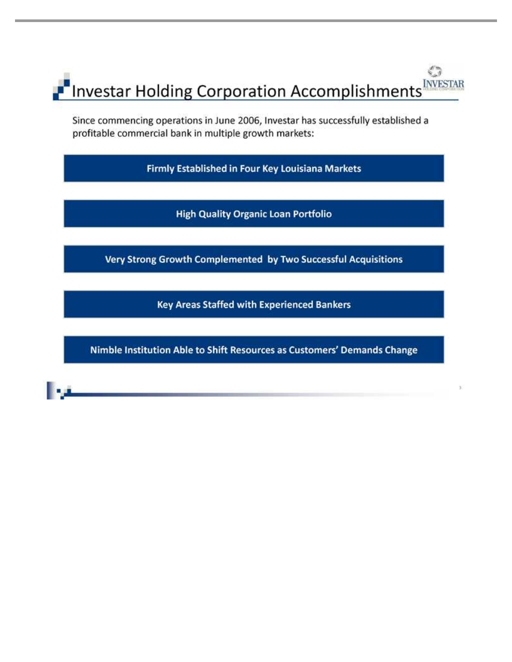## $\sqrt{\frac{1}{2}}$ **INVESTAR P** Investar Holding Corporation Accomplishments

Since commencing operations in June 2006, Investar has successfully established a profitable commercial bank in multiple growth markets:

Firmly Established in Four Key Louisiana Markets

**High Quality Organic Loan Portfolio** 

Very Strong Growth Complemented by Two Successful Acquisitions

**Key Areas Staffed with Experienced Bankers** 

Nimble Institution Able to Shift Resources as Customers' Demands Change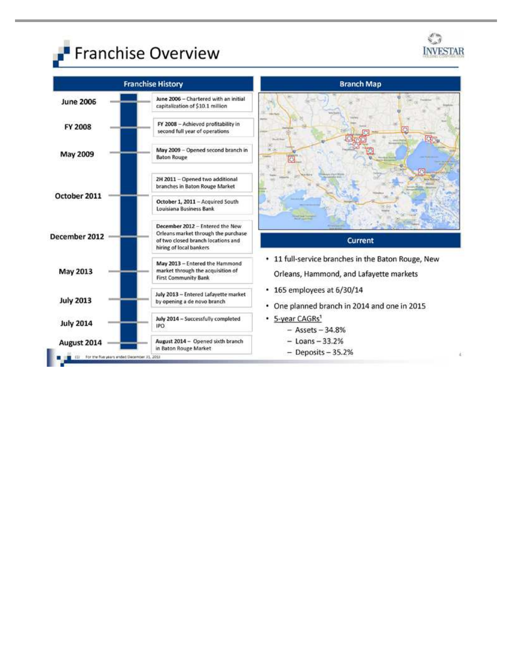



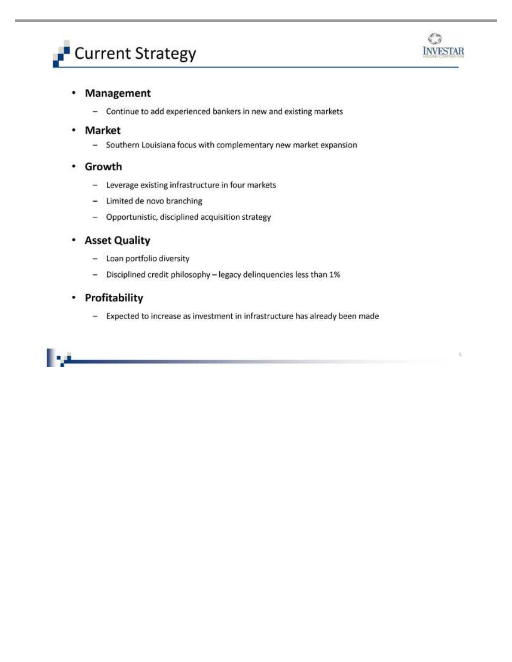



c

#### Management ٠

- Continue to add experienced bankers in new and existing markets

#### Market ٠

- Southern Louisiana focus with complementary new market expansion
- Growth
	- 24 Leverage existing infrastructure in four markets
	- Limited de novo branching
	- Opportunistic, disciplined acquisition strategy

#### **Asset Quality** ٠

- Loan portfolio diversity
- Disciplined credit philosophy legacy delinquencies less than 1%  $\sim$

## • Profitability

- Expected to increase as investment in infrastructure has already been made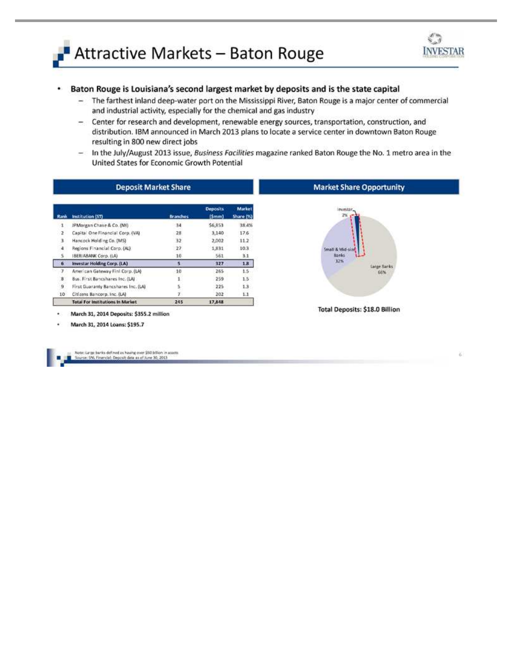



¥.

#### Baton Rouge is Louisiana's second largest market by deposits and is the state capital ۰

- The farthest inland deep-water port on the Mississippi River, Baton Rouge is a major center of commercial and industrial activity, especially for the chemical and gas industry
- $\sim$ Center for research and development, renewable energy sources, transportation, construction, and distribution. IBM announced in March 2013 plans to locate a service center in downtown Baton Rouge resulting in 800 new direct jobs
- In the July/August 2013 issue, Business Facilities magazine ranked Baton Rouge the No. 1 metro area in the United States for Economic Growth Potential

| Rank           | Institution (ST)                        | <b>Branches</b> | <b>Deposits</b><br>(Smm) | Market<br>Share (%) |
|----------------|-----------------------------------------|-----------------|--------------------------|---------------------|
| $\mathbf{1}$   | IPMorgan Chase & Co. (NY)               | 34              | \$6,853                  | 38.4%               |
| $\mathbf{2}^-$ | Capital One Financial Corp. (VA)        | 28.             | 3,140                    | 17.6                |
| $\mathbf{1}$   | Hancock Holding Co. (MS)                | 32              | 2,002                    | 11.2                |
| 4.             | Regions Financial Corp. (AL).           | 27              | 1,831                    | 10.3                |
| s:             | <b>IBERIABANK Corp. (LA)</b>            | 10              | 561                      | 3.1                 |
| 6              | Investar Holding Corp. (LA)             | $5 -$           | 327                      | 1.8                 |
| y.             | American Gateway Finl Corp. (LA)        | 10              | 265                      | LS.                 |
| 8.             | Bus. First Bancshares Inc. (LAI         | 1               | 259                      | 1.5                 |
| 9              | First Guaranty Bancshares Inc. (LA)     | 5               | 225                      | 13                  |
| 10             | Citizens Bancorp. Inc. (LA)             | 7.              | 202                      | 1.1                 |
|                | <b>Total For Institutions In Market</b> | 245             | 17,848                   |                     |



**Total Deposits: \$18.0 Billion** 

March 31, 2014 Deposits: \$355.2 million

March 31, 2014 Loans: \$195.7

te: Large barks defined as having over \$50 billion in assets<br>roe: 5%. Financial: Deposit data as of June 30, 2013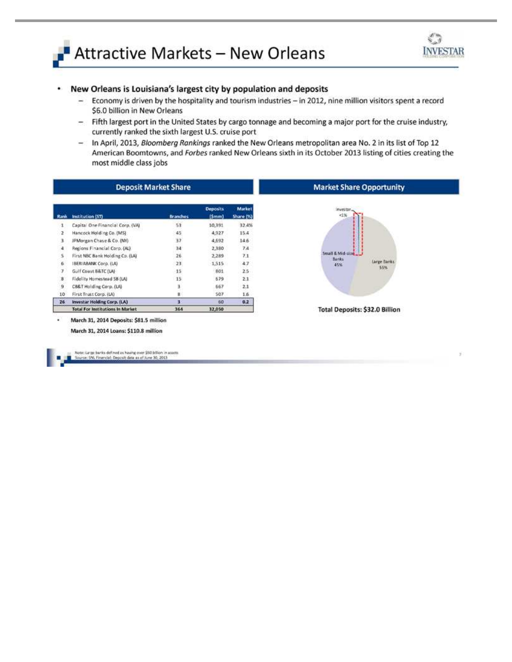



re Opportunity

#### New Orleans is Louisiana's largest city by population and deposits ۰

- $-$ Economy is driven by the hospitality and tourism industries - in 2012, nine million visitors spent a record \$6.0 billion in New Orleans
- Fifth largest port in the United States by cargo tonnage and becoming a major port for the cruise industry,  $\sim$ currently ranked the sixth largest U.S. cruise port
- In April, 2013, Bloomberg Rankings ranked the New Orleans metropolitan area No. 2 in its list of Top 12  $\blacksquare$ American Boomtowns, and Forbes ranked New Orleans sixth in its October 2013 listing of cities creating the most middle class jobs

| <b>Deposit Market Share</b> |                                         |                 |                          |                     | <b>Market Share Opportunit</b>        |
|-----------------------------|-----------------------------------------|-----------------|--------------------------|---------------------|---------------------------------------|
| Rank                        | Institution (ST)                        | <b>Branches</b> | <b>Deposits</b><br>(Smm) | Market<br>Share [%] | investor.<br>过海                       |
| 1                           | Capital One Financial Corp. (VA)        | 53              | 10,391                   | 32.4%               |                                       |
| 2                           | Hancock Holding Co. (MS)                | 45              | 4,927                    | 15.4                |                                       |
| 3                           | IPMorgan Chase & Co. (MY).              | 37              | 4,592                    | 14.6                |                                       |
| 冿                           | Regions Financial Corp. (AL)            | 34              | 2,380                    | 7.4                 |                                       |
| 5                           | First NBC Bank Holding Co. (LA)         | 26              | 2,289                    | 7.1                 | Small & Mid-size<br><b>Banks</b>      |
| 6                           | BERIABANK Corp. (LA)                    | 23              | 1,515                    | 4.7                 | Large Banks<br>45%                    |
| y                           | Gulf Coast B&TC (LA)                    | 15              | 801                      | 2.5                 | 55%                                   |
| ×                           | Fidelity Homestead SB (LA)              | 15              | 579                      | 2.1                 |                                       |
| 9                           | CB&T Holding Corp. (LA)                 |                 | 667                      | 2.1                 |                                       |
| 10                          | First Trust Corp. (LA)                  |                 | 507                      | I.6                 |                                       |
| 26                          | Investar Holding Corp. (LA)             |                 | 60                       | 0.2                 |                                       |
|                             | <b>Total For Institutions In Market</b> | 364             | 32,050                   |                     | <b>Total Deposits: \$32.0 Billion</b> |

March 31, 2014 Loans: \$110.8 million

icos: Large barios defined as having over \$50 billion in assets<br>ourse: SNL Financial: Deposit data as of June 30, 2013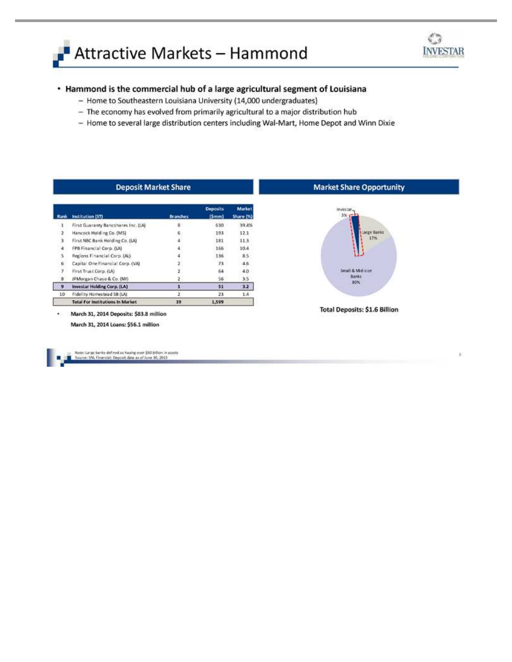



is.

## • Hammond is the commercial hub of a large agricultural segment of Louisiana

- Home to Southeastern Louisiana University (14,000 undergraduates)
- The economy has evolved from primarily agricultural to a major distribution hub
- Home to several large distribution centers including Wal-Mart, Home Depot and Winn Dixie

| <b>Deposit Market Share</b> |                                         |                 |                              |                     | <b>Market Share Opportunity</b> |
|-----------------------------|-----------------------------------------|-----------------|------------------------------|---------------------|---------------------------------|
| Rank                        | Institution (ST)                        | <b>Branches</b> | <b>Deposits</b><br>$\{5mm\}$ | Market<br>Share (%) | levestar.<br>$3 - 1$            |
|                             | First Guaranty Bancshares Inc. (LA)     | B.              | 630                          | 39.4%               |                                 |
|                             | Hancock Holding Co. (MS).               | 6               | 193                          | 12.1                | Large Banks                     |
| ı                           | First NBC Bank Holding Co. (LA)         |                 | 181                          | 11.3                | $17\%$                          |
| ÷                           | FPB Financial Corp. (LA)                |                 | 166                          | 10.4                |                                 |
|                             | Regions Financial Corp. (AL)            |                 | 136                          | 8.5                 |                                 |
| 6                           | Capital One Financial Corp. (VA)        |                 | 73                           | 4.6                 |                                 |
|                             | First Trust Corp. (LA)                  |                 | 64                           | 4.0                 | Small & Mid-size                |
| 8                           | JPMorgan Chase & Co. (NY)               |                 | 56                           | 3.5                 | <b>Banks</b>                    |
| 3                           | <b>Investar Holding Corp. (LA)</b>      |                 | 51                           | 3.2                 | 80%                             |
| 10                          | Fidelity Homestead SB (LA)              |                 | 23                           | 1.4                 |                                 |
|                             | <b>Total For Institutions In Market</b> | 39              | 1,599                        |                     |                                 |

Note: Large barks defined as having over \$50 billion in assets<br>Journe: SNL Financial: Deposit data as of June 30, 2013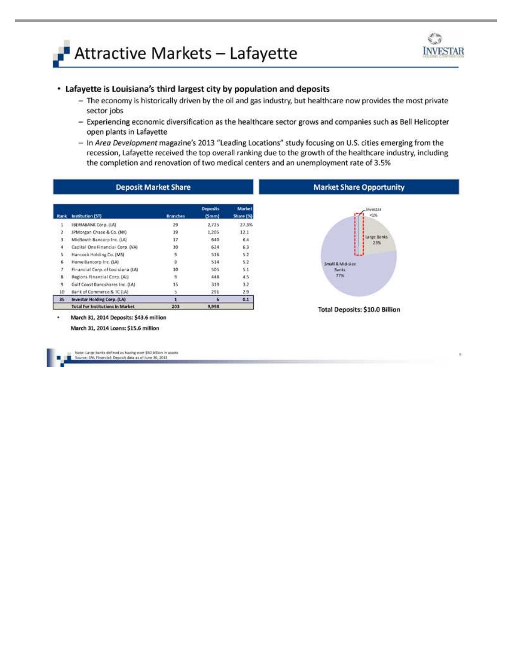



## • Lafayette is Louisiana's third largest city by population and deposits

- The economy is historically driven by the oil and gas industry, but healthcare now provides the most private sector jobs
- Experiencing economic diversification as the healthcare sector grows and companies such as Bell Helicopter open plants in Lafayette
- In Area Development magazine's 2013 "Leading Locations" study focusing on U.S. cities emerging from the recession, Lafayette received the top overall ranking due to the growth of the healthcare industry, including the completion and renovation of two medical centers and an unemployment rate of 3.5%

| Rank         | Institution (51)                  | Branches | <b>Deposits</b><br>(5mm) | <b>Market</b><br>Share [%] |
|--------------|-----------------------------------|----------|--------------------------|----------------------------|
| 1            | IBERIABANK Corp. (LA)             | 29       | 2,725                    | 27.3%                      |
| 2            | JPMorgan Chase & Co. (NY)         | 19       | 1,205                    | 12.1                       |
| 3            | MidSouth Bancorp Inc. (LA)        | 17       | 640                      | 6.4                        |
| 4            | Capital One Financial Corp. (VA)  | 10       | 624                      | 6.3                        |
| 5.           | Hancock Holding Co. (MS)          | ğ.       | 516                      | 52                         |
| ö            | Home Bancorp Inc. (LA)            | ğ        | 514                      | 5.2                        |
| 7            | Financial Corp. of Louisiana (LA) | 10       | 505                      | 5:1                        |
| $\bf{R}$     | Regions Financial Corp. (AL)      | 用        | 448                      | 4.5                        |
| $\mathbf{q}$ | Gulf Coast Bancshares Inc. (IA)   | 15       | 319                      | 3.2                        |
| 10           | Bank of Commerce & IC (LA)        | s        | 291                      | 2.9                        |
| 35           | Investar Holding Corp. (LA)       |          | 6                        | 0.1                        |
|              | Total For Institutions In Market  | 203      | 9,998                    |                            |



**Total Deposits: \$10.0 Billion** 

March 31, 2014 Deposits: \$43.6 million March 31, 2014 Loans: \$15.6 million

icce: Large banks defined as having over \$50 billion in assets<br>surce: SNL Financial: Deposit data as of June 30, 2013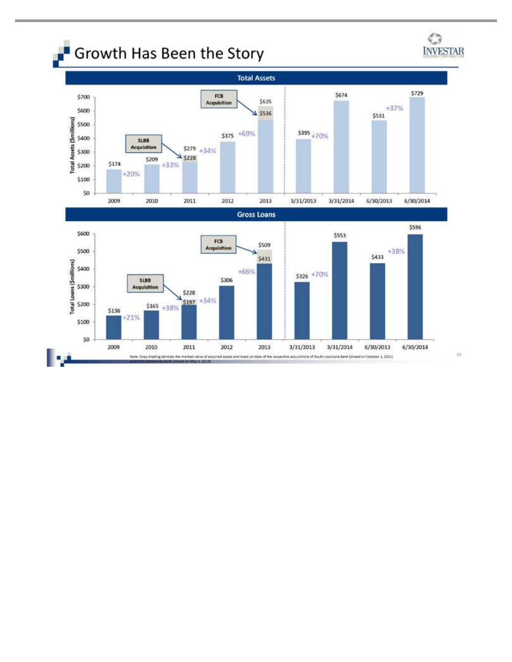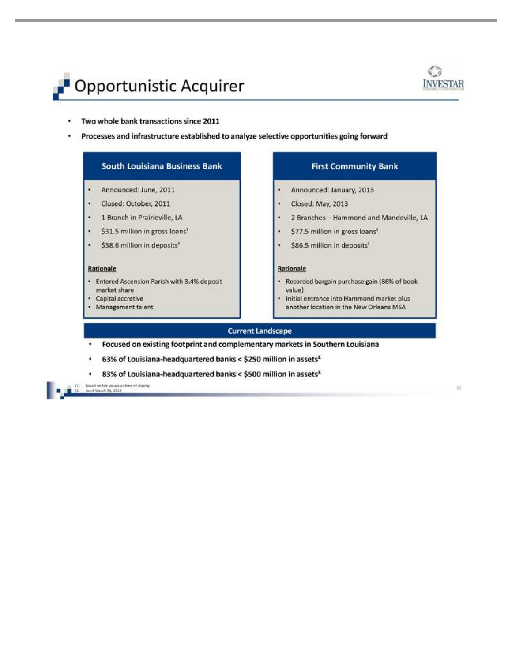



- Two whole bank transactions since 2011
- Processes and infrastructure established to analyze selective opportunities going forward

## **South Louisiana Business Bank**

#### Announced: June, 2011 ٠

- Closed: October, 2011
- 1 Branch in Prairieville, LA
- \$31.5 million in gross loans<sup>1</sup>
- \$38.6 million in deposits<sup>1</sup>

### Rationale

- Entered Ascension Parish with 3.4% deposit ۰ market share
- Capital accretive
- Management talent

## **First Community Bank**

- Announced: January, 2013
- Closed: May, 2013
- 2 Branches Hammond and Mandeville, LA
- \$77.5 million in gross loans<sup>1</sup>
- \$86.5 million in deposits<sup>1</sup>

### Rationale

- · Recorded bargain purchase gain (86% of book value)
- · Initial entrance into Hammond market plus another location in the New Orleans MSA

## **Current Landscape**

- . Focused on existing footprint and complementary markets in Southern Louisiana
- 63% of Louisiana-headquartered banks < \$250 million in assets<sup>2</sup> ٠
- 83% of Louisiana-headquartered banks < \$500 million in assets<sup>2</sup>

(1) Based on fair values at time of dosing<br>  $(2)$  As of March 31, 2014